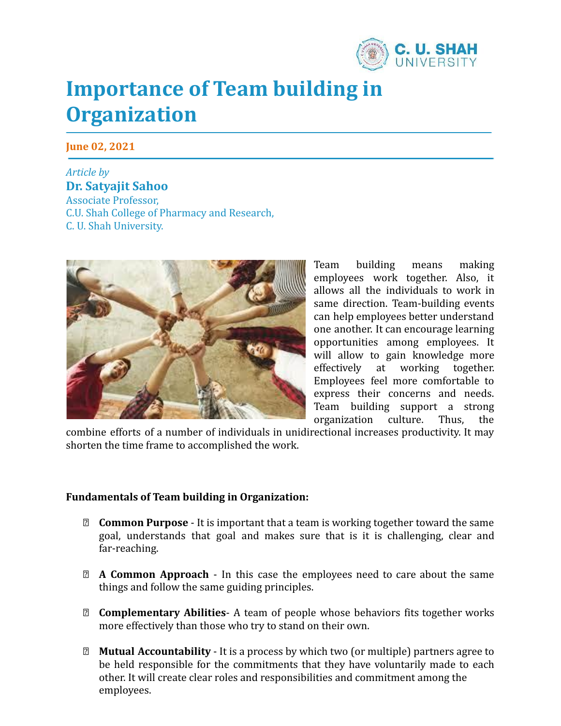

## **Importance of Team building in Organization**

**June 02, 2021**

*Article by* **Dr. Satyajit Sahoo** Associate Professor, C.U. Shah College of Pharmacy and Research, C. U. Shah University.



Team building means making employees work together. Also, it allows all the individuals to work in same direction. Team-building events can help employees better understand one another. It can encourage learning opportunities among employees. It will allow to gain knowledge more effectively at working together. Employees feel more comfortable to express their concerns and needs. Team building support a strong organization culture. Thus, the

combine efforts of a number of individuals in unidirectional increases productivity. It may shorten the time frame to accomplished the work.

## **Fundamentals of Team building in Organization:**

- ⮚ **Common Purpose** It is important that a team is working together toward the same goal, understands that goal and makes sure that is it is challenging, clear and far-reaching.
- ⮚ **A Common Approach** In this case the employees need to care about the same things and follow the same guiding principles.
- ⮚ **Complementary Abilities** A team of people whose behaviors fits together works more effectively than those who try to stand on their own.
- ⮚ **Mutual Accountability** It is a process by which two (or multiple) partners agree to be held responsible for the commitments that they have voluntarily made to each other. It will create clear roles and responsibilities and commitment among the employees.